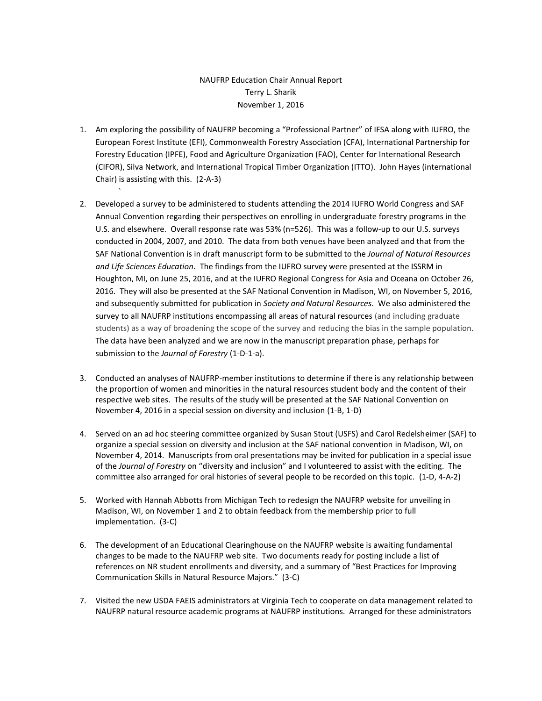## NAUFRP Education Chair Annual Report Terry L. Sharik November 1, 2016

1. Am exploring the possibility of NAUFRP becoming a "Professional Partner" of IFSA along with IUFRO, the European Forest Institute (EFI), Commonwealth Forestry Association (CFA), International Partnership for Forestry Education (IPFE), Food and Agriculture Organization (FAO), Center for International Research (CIFOR), Silva Network, and International Tropical Timber Organization (ITTO). John Hayes (international Chair) is assisting with this. (2-A-3)

`

- 2. Developed a survey to be administered to students attending the 2014 IUFRO World Congress and SAF Annual Convention regarding their perspectives on enrolling in undergraduate forestry programs in the U.S. and elsewhere. Overall response rate was 53% (n=526). This was a follow-up to our U.S. surveys conducted in 2004, 2007, and 2010. The data from both venues have been analyzed and that from the SAF National Convention is in draft manuscript form to be submitted to the *Journal of Natural Resources and Life Sciences Education*. The findings from the IUFRO survey were presented at the ISSRM in Houghton, MI, on June 25, 2016, and at the IUFRO Regional Congress for Asia and Oceana on October 26, 2016. They will also be presented at the SAF National Convention in Madison, WI, on November 5, 2016, and subsequently submitted for publication in *Society and Natural Resources*. We also administered the survey to all NAUFRP institutions encompassing all areas of natural resources (and including graduate students) as a way of broadening the scope of the survey and reducing the bias in the sample population. The data have been analyzed and we are now in the manuscript preparation phase, perhaps for submission to the *Journal of Forestry* (1-D-1-a).
- 3. Conducted an analyses of NAUFRP-member institutions to determine if there is any relationship between the proportion of women and minorities in the natural resources student body and the content of their respective web sites. The results of the study will be presented at the SAF National Convention on November 4, 2016 in a special session on diversity and inclusion (1-B, 1-D)
- 4. Served on an ad hoc steering committee organized by Susan Stout (USFS) and Carol Redelsheimer (SAF) to organize a special session on diversity and inclusion at the SAF national convention in Madison, WI, on November 4, 2014. Manuscripts from oral presentations may be invited for publication in a special issue of the *Journal of Forestry* on "diversity and inclusion" and I volunteered to assist with the editing. The committee also arranged for oral histories of several people to be recorded on this topic. (1-D, 4-A-2)
- 5. Worked with Hannah Abbotts from Michigan Tech to redesign the NAUFRP website for unveiling in Madison, WI, on November 1 and 2 to obtain feedback from the membership prior to full implementation. (3-C)
- 6. The development of an Educational Clearinghouse on the NAUFRP website is awaiting fundamental changes to be made to the NAUFRP web site. Two documents ready for posting include a list of references on NR student enrollments and diversity, and a summary of "Best Practices for Improving Communication Skills in Natural Resource Majors." (3-C)
- 7. Visited the new USDA FAEIS administrators at Virginia Tech to cooperate on data management related to NAUFRP natural resource academic programs at NAUFRP institutions. Arranged for these administrators